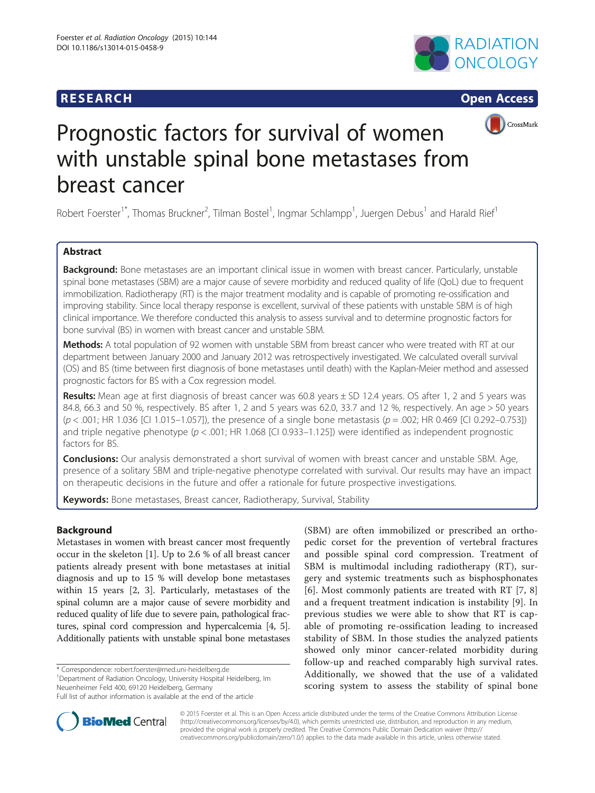





# Prognostic factors for survival of women with unstable spinal bone metastases from breast cancer

Robert Foerster<sup>1\*</sup>, Thomas Bruckner<sup>2</sup>, Tilman Bostel<sup>1</sup>, Ingmar Schlampp<sup>1</sup>, Juergen Debus<sup>1</sup> and Harald Rief<sup>1</sup>

# Abstract

Background: Bone metastases are an important clinical issue in women with breast cancer. Particularly, unstable spinal bone metastases (SBM) are a major cause of severe morbidity and reduced quality of life (QoL) due to frequent immobilization. Radiotherapy (RT) is the major treatment modality and is capable of promoting re-ossification and improving stability. Since local therapy response is excellent, survival of these patients with unstable SBM is of high clinical importance. We therefore conducted this analysis to assess survival and to determine prognostic factors for bone survival (BS) in women with breast cancer and unstable SBM.

Methods: A total population of 92 women with unstable SBM from breast cancer who were treated with RT at our department between January 2000 and January 2012 was retrospectively investigated. We calculated overall survival (OS) and BS (time between first diagnosis of bone metastases until death) with the Kaplan-Meier method and assessed prognostic factors for BS with a Cox regression model.

Results: Mean age at first diagnosis of breast cancer was  $60.8$  years  $\pm$  SD 12.4 years. OS after 1, 2 and 5 years was 84.8, 66.3 and 50 %, respectively. BS after 1, 2 and 5 years was 62.0, 33.7 and 12 %, respectively. An age > 50 years  $(p < .001;$  HR 1.036 [CI 1.015–1.057]), the presence of a single bone metastasis ( $p = .002$ ; HR 0.469 [CI 0.292–0.753]) and triple negative phenotype ( $p < .001$ ; HR 1.068 [CI 0.933-1.125]) were identified as independent prognostic factors for BS.

**Conclusions:** Our analysis demonstrated a short survival of women with breast cancer and unstable SBM. Age, presence of a solitary SBM and triple-negative phenotype correlated with survival. Our results may have an impact on therapeutic decisions in the future and offer a rationale for future prospective investigations.

Keywords: Bone metastases, Breast cancer, Radiotherapy, Survival, Stability

# Background

Metastases in women with breast cancer most frequently occur in the skeleton [[1\]](#page-3-0). Up to 2.6 % of all breast cancer patients already present with bone metastases at initial diagnosis and up to 15 % will develop bone metastases within 15 years [[2, 3](#page-3-0)]. Particularly, metastases of the spinal column are a major cause of severe morbidity and reduced quality of life due to severe pain, pathological fractures, spinal cord compression and hypercalcemia [[4](#page-3-0), [5](#page-3-0)]. Additionally patients with unstable spinal bone metastases

\* Correspondence: [robert.foerster@med.uni-heidelberg.de](mailto:robert.foerster@med.uni-heidelberg.de) <sup>1</sup>

<sup>1</sup>Department of Radiation Oncology, University Hospital Heidelberg, Im Neuenheimer Feld 400, 69120 Heidelberg, Germany

(SBM) are often immobilized or prescribed an orthopedic corset for the prevention of vertebral fractures and possible spinal cord compression. Treatment of SBM is multimodal including radiotherapy (RT), surgery and systemic treatments such as bisphosphonates [[6\]](#page-3-0). Most commonly patients are treated with RT [[7, 8](#page-3-0)] and a frequent treatment indication is instability [[9](#page-3-0)]. In previous studies we were able to show that RT is capable of promoting re-ossification leading to increased stability of SBM. In those studies the analyzed patients showed only minor cancer-related morbidity during follow-up and reached comparably high survival rates. Additionally, we showed that the use of a validated scoring system to assess the stability of spinal bone



© 2015 Foerster et al. This is an Open Access article distributed under the terms of the Creative Commons Attribution License [\(http://creativecommons.org/licenses/by/4.0\)](http://creativecommons.org/licenses/by/4.0), which permits unrestricted use, distribution, and reproduction in any medium, provided the original work is properly credited. The Creative Commons Public Domain Dedication waiver [\(http://](http://creativecommons.org/publicdomain/zero/1.0/) [creativecommons.org/publicdomain/zero/1.0/\)](http://creativecommons.org/publicdomain/zero/1.0/) applies to the data made available in this article, unless otherwise stated.

Full list of author information is available at the end of the article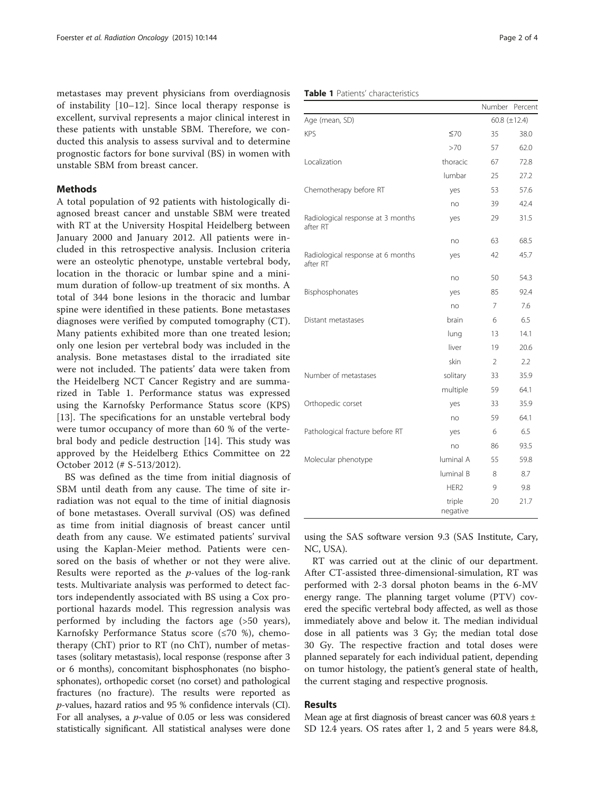metastases may prevent physicians from overdiagnosis of instability [[10](#page-3-0)–[12\]](#page-3-0). Since local therapy response is excellent, survival represents a major clinical interest in these patients with unstable SBM. Therefore, we conducted this analysis to assess survival and to determine prognostic factors for bone survival (BS) in women with unstable SBM from breast cancer.

# Methods

A total population of 92 patients with histologically diagnosed breast cancer and unstable SBM were treated with RT at the University Hospital Heidelberg between January 2000 and January 2012. All patients were included in this retrospective analysis. Inclusion criteria were an osteolytic phenotype, unstable vertebral body, location in the thoracic or lumbar spine and a minimum duration of follow-up treatment of six months. A total of 344 bone lesions in the thoracic and lumbar spine were identified in these patients. Bone metastases diagnoses were verified by computed tomography (CT). Many patients exhibited more than one treated lesion; only one lesion per vertebral body was included in the analysis. Bone metastases distal to the irradiated site were not included. The patients' data were taken from the Heidelberg NCT Cancer Registry and are summarized in Table 1. Performance status was expressed using the Karnofsky Performance Status score (KPS) [[13\]](#page-3-0). The specifications for an unstable vertebral body were tumor occupancy of more than 60 % of the vertebral body and pedicle destruction [\[14](#page-3-0)]. This study was approved by the Heidelberg Ethics Committee on 22 October 2012 (# S-513/2012).

BS was defined as the time from initial diagnosis of SBM until death from any cause. The time of site irradiation was not equal to the time of initial diagnosis of bone metastases. Overall survival (OS) was defined as time from initial diagnosis of breast cancer until death from any cause. We estimated patients' survival using the Kaplan-Meier method. Patients were censored on the basis of whether or not they were alive. Results were reported as the  $p$ -values of the log-rank tests. Multivariate analysis was performed to detect factors independently associated with BS using a Cox proportional hazards model. This regression analysis was performed by including the factors age (>50 years), Karnofsky Performance Status score (≤70 %), chemotherapy (ChT) prior to RT (no ChT), number of metastases (solitary metastasis), local response (response after 3 or 6 months), concomitant bisphosphonates (no bisphosphonates), orthopedic corset (no corset) and pathological fractures (no fracture). The results were reported as p-values, hazard ratios and 95 % confidence intervals (CI). For all analyses, a p-value of 0.05 or less was considered statistically significant. All statistical analyses were done

### Table 1 Patients' characteristics

|                                               |                    | Number            | Percent |
|-----------------------------------------------|--------------------|-------------------|---------|
| Age (mean, SD)                                |                    | 60.8 $(\pm 12.4)$ |         |
| <b>KPS</b>                                    | ≤70                | 35                | 38.0    |
|                                               | >70                | 57                | 62.0    |
| Localization                                  | thoracic           | 67                | 72.8    |
|                                               | lumbar             | 25                | 27.2    |
| Chemotherapy before RT                        | yes                | 53                | 57.6    |
|                                               | no                 | 39                | 42.4    |
| Radiological response at 3 months<br>after RT | yes                | 29                | 31.5    |
|                                               | no                 | 63                | 68.5    |
| Radiological response at 6 months<br>after RT | yes                | 42                | 45.7    |
|                                               | no                 | 50                | 54.3    |
| Bisphosphonates                               | yes                | 85                | 92.4    |
|                                               | no                 | 7                 | 7.6     |
| Distant metastases                            | brain              | 6                 | 6.5     |
|                                               | lung               | 13                | 14.1    |
|                                               | liver              | 19                | 20.6    |
|                                               | skin               | $\overline{2}$    | 2.2     |
| Number of metastases                          | solitary           | 33                | 35.9    |
|                                               | multiple           | 59                | 64.1    |
| Orthopedic corset                             | yes                | 33                | 35.9    |
|                                               | no                 | 59                | 64.1    |
| Pathological fracture before RT               | yes                | 6                 | 6.5     |
|                                               | no                 | 86                | 93.5    |
| Molecular phenotype                           | luminal A          | 55                | 59.8    |
|                                               | luminal B          | 8                 | 8.7     |
|                                               | HFR <sub>2</sub>   | 9                 | 9.8     |
|                                               | triple<br>negative | 20                | 21.7    |

using the SAS software version 9.3 (SAS Institute, Cary, NC, USA).

RT was carried out at the clinic of our department. After CT-assisted three-dimensional-simulation, RT was performed with 2-3 dorsal photon beams in the 6-MV energy range. The planning target volume (PTV) covered the specific vertebral body affected, as well as those immediately above and below it. The median individual dose in all patients was 3 Gy; the median total dose 30 Gy. The respective fraction and total doses were planned separately for each individual patient, depending on tumor histology, the patient's general state of health, the current staging and respective prognosis.

### Results

Mean age at first diagnosis of breast cancer was 60.8 years ± SD 12.4 years. OS rates after 1, 2 and 5 years were 84.8,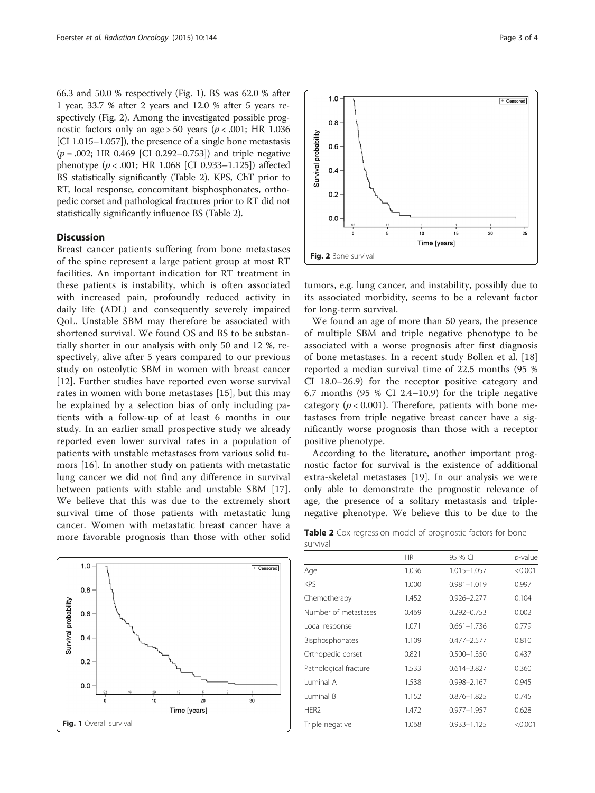66.3 and 50.0 % respectively (Fig. 1). BS was 62.0 % after 1 year, 33.7 % after 2 years and 12.0 % after 5 years respectively (Fig. 2). Among the investigated possible prognostic factors only an age > 50 years ( $p < .001$ ; HR 1.036 [CI 1.015–1.057]), the presence of a single bone metastasis  $(p = .002;$  HR 0.469 [CI 0.292–0.753]) and triple negative phenotype ( $p < .001$ ; HR 1.068 [CI 0.933-1.125]) affected BS statistically significantly (Table 2). KPS, ChT prior to RT, local response, concomitant bisphosphonates, orthopedic corset and pathological fractures prior to RT did not statistically significantly influence BS (Table 2).

## **Discussion**

Breast cancer patients suffering from bone metastases of the spine represent a large patient group at most RT facilities. An important indication for RT treatment in these patients is instability, which is often associated with increased pain, profoundly reduced activity in daily life (ADL) and consequently severely impaired QoL. Unstable SBM may therefore be associated with shortened survival. We found OS and BS to be substantially shorter in our analysis with only 50 and 12 %, respectively, alive after 5 years compared to our previous study on osteolytic SBM in women with breast cancer [[12\]](#page-3-0). Further studies have reported even worse survival rates in women with bone metastases [[15\]](#page-3-0), but this may be explained by a selection bias of only including patients with a follow-up of at least 6 months in our study. In an earlier small prospective study we already reported even lower survival rates in a population of patients with unstable metastases from various solid tumors [\[16](#page-3-0)]. In another study on patients with metastatic lung cancer we did not find any difference in survival between patients with stable and unstable SBM [\[17](#page-3-0)]. We believe that this was due to the extremely short survival time of those patients with metastatic lung cancer. Women with metastatic breast cancer have a more favorable prognosis than those with other solid



 $1.0$  $\overline{+$  Censored  $0.8$ Survival probability  $0.6$  $0.4$  $0.2$  $0.<sub>C</sub>$  $15$  $20$  $25$ Time [years] Fig. 2 Bone survival

tumors, e.g. lung cancer, and instability, possibly due to its associated morbidity, seems to be a relevant factor for long-term survival.

We found an age of more than 50 years, the presence of multiple SBM and triple negative phenotype to be associated with a worse prognosis after first diagnosis of bone metastases. In a recent study Bollen et al. [\[18](#page-3-0)] reported a median survival time of 22.5 months (95 % CI 18.0–26.9) for the receptor positive category and 6.7 months (95 % CI 2.4–10.9) for the triple negative category ( $p < 0.001$ ). Therefore, patients with bone metastases from triple negative breast cancer have a significantly worse prognosis than those with a receptor positive phenotype.

According to the literature, another important prognostic factor for survival is the existence of additional extra-skeletal metastases [\[19](#page-3-0)]. In our analysis we were only able to demonstrate the prognostic relevance of age, the presence of a solitary metastasis and triplenegative phenotype. We believe this to be due to the

Table 2 Cox regression model of prognostic factors for bone survival

|                       | HR.   | 95 % CI         | <i>p</i> -value |
|-----------------------|-------|-----------------|-----------------|
| Age                   | 1.036 | 1.015-1.057     | < 0.001         |
| <b>KPS</b>            | 1.000 | $0.981 - 1.019$ | 0.997           |
| Chemotherapy          | 1.452 | $0.926 - 2.277$ | 0.104           |
| Number of metastases  | 0.469 | $0.292 - 0.753$ | 0.002           |
| Local response        | 1.071 | $0.661 - 1.736$ | 0.779           |
| Bisphosphonates       | 1.109 | $0.477 - 2.577$ | 0.810           |
| Orthopedic corset     | 0.821 | $0.500 - 1.350$ | 0.437           |
| Pathological fracture | 1.533 | $0.614 - 3.827$ | 0.360           |
| Luminal A             | 1.538 | $0.998 - 2.167$ | 0.945           |
| Luminal B             | 1.152 | $0.876 - 1.825$ | 0.745           |
| HER <sub>2</sub>      | 1.472 | $0.977 - 1.957$ | 0.628           |
| Triple negative       | 1.068 | $0.933 - 1.125$ | < 0.001         |